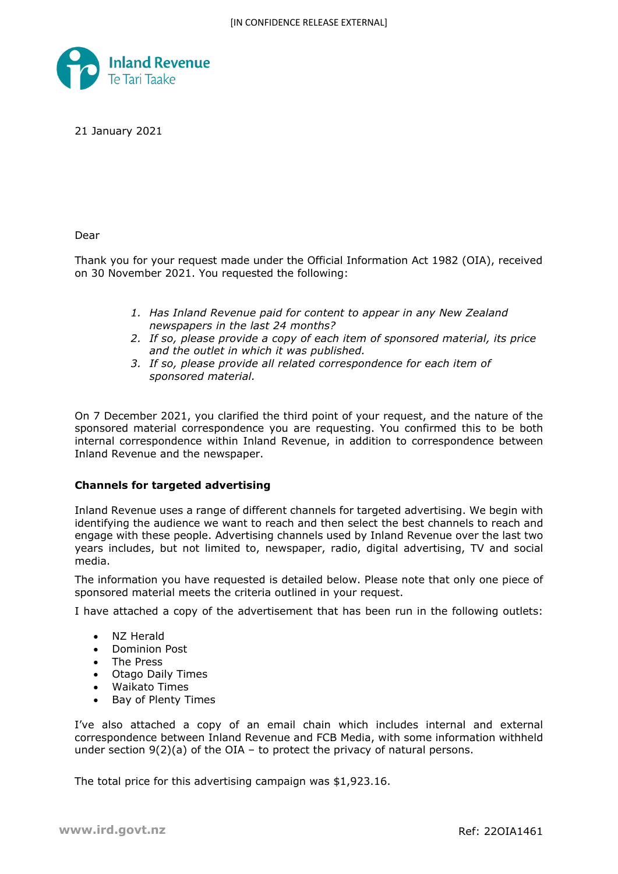

21 January 2021

Dear

Thank you for your request made under the Official Information Act 1982 (OIA), received on 30 November 2021. You requested the following:

- *1. Has Inland Revenue paid for content to appear in any New Zealand newspapers in the last 24 months?*
- *2. If so, please provide a copy of each item of sponsored material, its price and the outlet in which it was published.*
- *3. If so, please provide all related correspondence for each item of sponsored material.*

On 7 December 2021, you clarified the third point of your request, and the nature of the sponsored material correspondence you are requesting. You confirmed this to be both internal correspondence within Inland Revenue, in addition to correspondence between Inland Revenue and the newspaper.

## **Channels for targeted advertising**

Inland Revenue uses a range of different channels for targeted advertising. We begin with identifying the audience we want to reach and then select the best channels to reach and engage with these people. Advertising channels used by Inland Revenue over the last two years includes, but not limited to, newspaper, radio, digital advertising, TV and social media.

The information you have requested is detailed below. Please note that only one piece of sponsored material meets the criteria outlined in your request.

I have attached a copy of the advertisement that has been run in the following outlets:

- NZ Herald
- Dominion Post
- The Press
- Otago Daily Times
- Waikato Times
- Bay of Plenty Times

I've also attached a copy of an email chain which includes internal and external correspondence between Inland Revenue and FCB Media, with some information withheld under section  $9(2)(a)$  of the OIA – to protect the privacy of natural persons.

The total price for this advertising campaign was \$1,923.16.